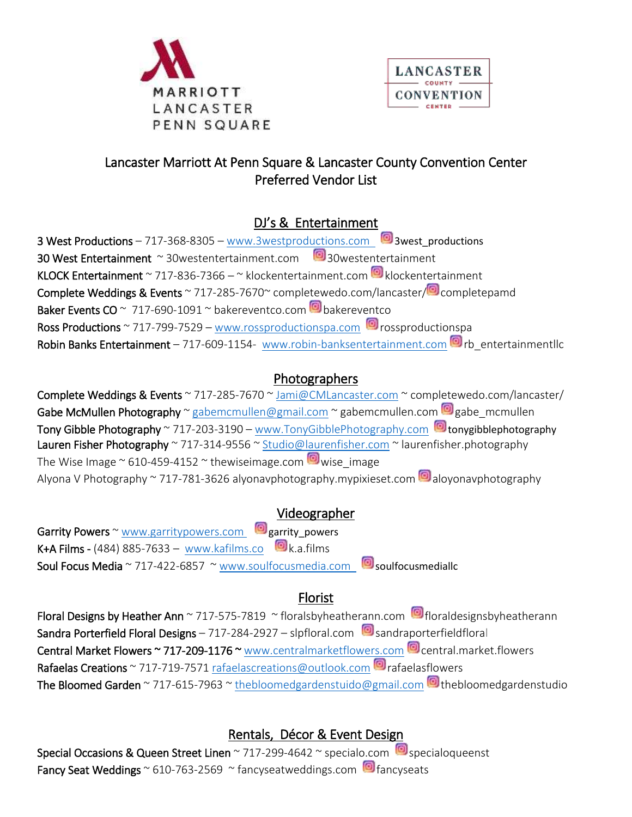



# Lancaster Marriott At Penn Square & Lancaster County Convention Center Preferred Vendor List

# DJ's & Entertainment

3 West Productions – 717-368-8305 – [www.3westproductions.com](http://www.3westproductions.com/)  $\Box$  3west\_productions 30 West Entertainment ~ 30 westentertainment.com 30 westentertainment KLOCK Entertainment ~ 717-836-7366 – ~ klockentertainment.com  $\blacksquare$  klockentertainment Complete Weddings & Events ~ 717-285-7670 $\degree$  completewedo.com/lancaster/ $\degree$  completepamd Baker Events CO ~ 717-690-1091 ~ bakereventco.com **o** bakereventco Ross Productions ~ 717-799-7529 – [www.rossproductionspa.com](http://www.rossproductionspa.com/)  $\blacksquare$  rossproductionspa Robin Banks Entertainment – 717-609-1154- [www.robin-banksentertainment.com](http://www.robin-banksentertainment.com/) **D**rb entertainmentllc

# Photographers

Complete Weddings & Events ~ 717-285-7670 ~ [Jami@CMLancaster.com](mailto:Jami@CMLancaster.com) ~ completewedo.com/lancaster/ Gabe McMullen Photography ~ [gabemcmullen@gmail.com](mailto:gabemcmullen@gmail.com) ~ gabemcmullen.com @gabe\_mcmullen Tony Gibble Photography ~ 717-203-3190 – [www.TonyGibblePhotography.com](http://www.tonygibblephotography.com/)  $\Box$  tonygibblephotography Lauren Fisher Photography ~ 717-314-9556 ~ [Studio@laurenfisher.com](mailto:Studio@laurenfisher.com) ~ laurenfisher.photography The Wise Image  $\sim$  610-459-4152  $\sim$  thewiseimage.com  $\blacksquare$  wise image Alyona V Photography ~ 717-781-3626 alyonavphotography.mypixieset.com  $\Box$  aloyonavphotography

## Videographer

Garrity Powers ~ [www.garritypowers.com](http://www.garritypowers.com/) **garrity\_powers** K+A Films - (484) 885-7633 – [www.kafilms.co](http://www.kafilms.co/)  $\Box$  k.a.films Soul Focus Media ~ 717-422-6857 ~ [www.soulfocusmedia.com](http://www.soulfocusmedia.com/) soulfocusmediallc

# Florist

Floral Designs by Heather Ann ~ 717-575-7819 ~ floralsbyheatherann.com **[6]** floraldesignsbyheatherann Sandra Porterfield Floral Designs – 717-284-2927 – slpfloral.com  $\Box$  sandraporterfieldfloral Central Market Flowers ~ 717-209-1176 ~ [www.centralmarketflowers.com](http://www.centralmarketflowers.com/) central.market.flowers Rafaelas Creations ~ 717-719-7571 [rafaelascreations@outlook.com](mailto:rafaelascreations@outlook.com)  $\blacksquare$  rafaelasflowers The Bloomed Garden ~ 717-615-7963 ~ [thebloomedgardenstuido@gmail.com](mailto:thebloomedgardenstuido@gmail.com) **thebloomedgardenstudio** 

# Rentals, Décor & Event Design

Special Occasions & Queen Street Linen ~ 717-299-4642 ~ specialo.com  $\Box$  specialoqueenst Fancy Seat Weddings  $\sim$  610-763-2569  $\sim$  fancyseatweddings.com  $\blacksquare$  fancyseats